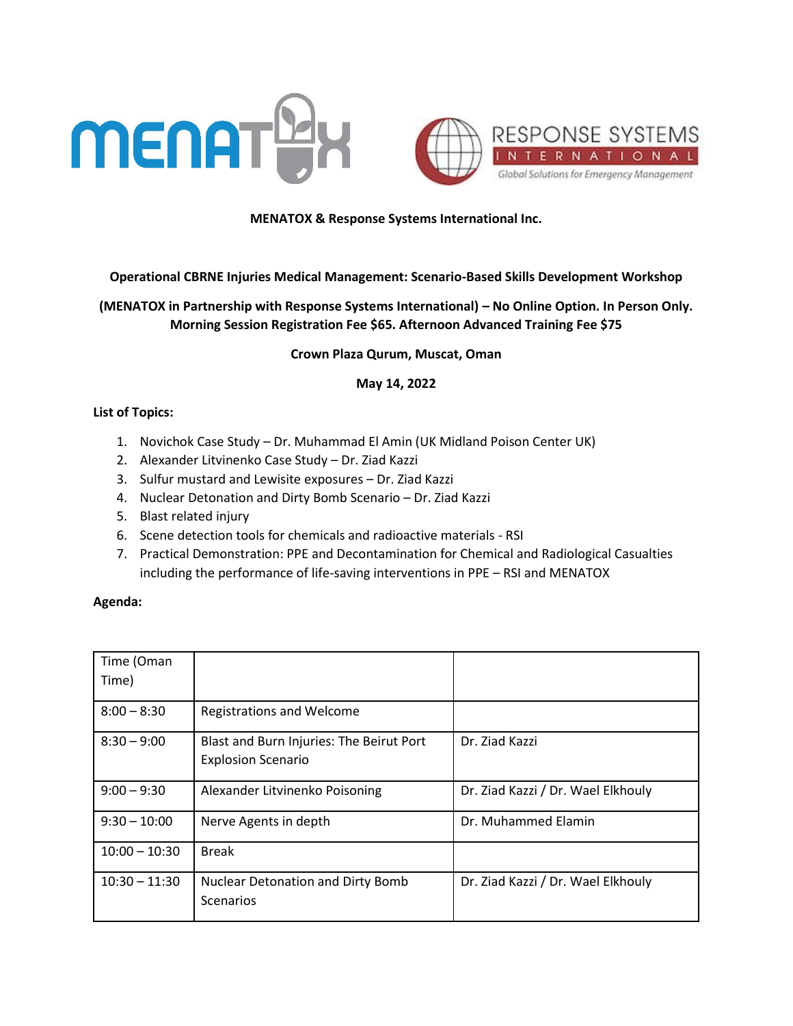



## **MENATOX & Response Systems International Inc.**

#### **Operational CBRNE Injuries Medical Management: Scenario-Based Skills Development Workshop**

# **(MENATOX in Partnership with Response Systems International) – No Online Option. In Person Only. Morning Session Registration Fee \$65. Afternoon Advanced Training Fee \$75**

#### **Crown Plaza Qurum, Muscat, Oman**

#### **May 14, 2022**

## **List of Topics:**

- 1. Novichok Case Study Dr. Muhammad El Amin (UK Midland Poison Center UK)
- 2. Alexander Litvinenko Case Study Dr. Ziad Kazzi
- 3. Sulfur mustard and Lewisite exposures Dr. Ziad Kazzi
- 4. Nuclear Detonation and Dirty Bomb Scenario Dr. Ziad Kazzi
- 5. Blast related injury
- 6. Scene detection tools for chemicals and radioactive materials RSI
- 7. Practical Demonstration: PPE and Decontamination for Chemical and Radiological Casualties including the performance of life-saving interventions in PPE – RSI and MENATOX

## **Agenda:**

| Time (Oman<br>Time) |                                                                       |                                    |
|---------------------|-----------------------------------------------------------------------|------------------------------------|
| $8:00 - 8:30$       | <b>Registrations and Welcome</b>                                      |                                    |
| $8:30 - 9:00$       | Blast and Burn Injuries: The Beirut Port<br><b>Explosion Scenario</b> | Dr. Ziad Kazzi                     |
| $9:00 - 9:30$       | Alexander Litvinenko Poisoning                                        | Dr. Ziad Kazzi / Dr. Wael Elkhouly |
| $9:30 - 10:00$      | Nerve Agents in depth                                                 | Dr. Muhammed Elamin                |
| $10:00 - 10:30$     | <b>Break</b>                                                          |                                    |
| $10:30 - 11:30$     | <b>Nuclear Detonation and Dirty Bomb</b><br>Scenarios                 | Dr. Ziad Kazzi / Dr. Wael Elkhouly |